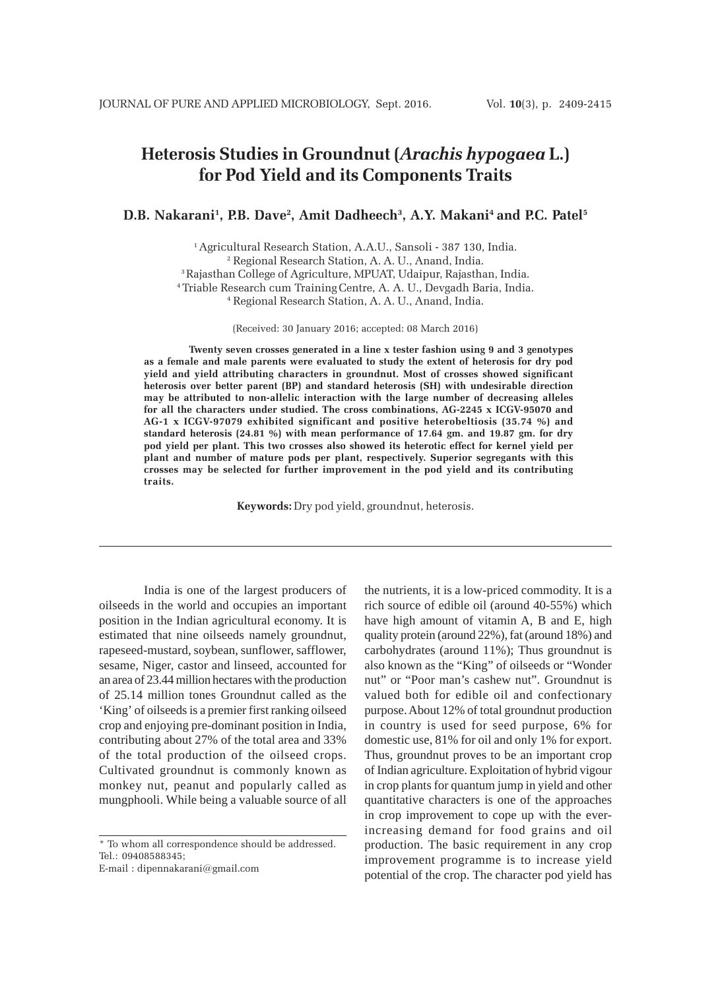# **Heterosis Studies in Groundnut (***Arachis hypogaea* **L.) for Pod Yield and its Components Traits**

## **D.B. Nakarani1 , P.B. Dave2 , Amit Dadheech3 , A.Y. Makani4 and P.C. Patel5**

1 Agricultural Research Station, A.A.U., Sansoli - 387 130, India. 2 Regional Research Station, A. A. U., Anand, India. 3Rajasthan College of Agriculture, MPUAT, Udaipur, Rajasthan, India. 4 Triable Research cum TrainingCentre, A. A. U., Devgadh Baria, India. 4 Regional Research Station, A. A. U., Anand, India.

(Received: 30 January 2016; accepted: 08 March 2016)

**Twenty seven crosses generated in a line x tester fashion using 9 and 3 genotypes as a female and male parents were evaluated to study the extent of heterosis for dry pod yield and yield attributing characters in groundnut. Most of crosses showed significant heterosis over better parent (BP) and standard heterosis (SH) with undesirable direction may be attributed to non-allelic interaction with the large number of decreasing alleles for all the characters under studied. The cross combinations, AG-2245 x ICGV-95070 and AG-1 x ICGV-97079 exhibited significant and positive heterobeltiosis (35.74 %) and standard heterosis (24.81 %) with mean performance of 17.64 gm. and 19.87 gm. for dry pod yield per plant. This two crosses also showed its heterotic effect for kernel yield per plant and number of mature pods per plant, respectively. Superior segregants with this crosses may be selected for further improvement in the pod yield and its contributing traits.**

**Keywords:** Dry pod yield, groundnut, heterosis.

India is one of the largest producers of oilseeds in the world and occupies an important position in the Indian agricultural economy. It is estimated that nine oilseeds namely groundnut, rapeseed-mustard, soybean, sunflower, safflower, sesame, Niger, castor and linseed, accounted for an area of 23.44 million hectares with the production of 25.14 million tones Groundnut called as the 'King' of oilseeds is a premier first ranking oilseed crop and enjoying pre-dominant position in India, contributing about 27% of the total area and 33% of the total production of the oilseed crops. Cultivated groundnut is commonly known as monkey nut, peanut and popularly called as mungphooli. While being a valuable source of all

\* To whom all correspondence should be addressed. Tel.: 09408588345;

E-mail : dipennakarani@gmail.com

the nutrients, it is a low-priced commodity. It is a rich source of edible oil (around 40-55%) which have high amount of vitamin A, B and E, high quality protein (around 22%), fat (around 18%) and carbohydrates (around 11%); Thus groundnut is also known as the "King" of oilseeds or "Wonder nut" or "Poor man's cashew nut". Groundnut is valued both for edible oil and confectionary purpose. About 12% of total groundnut production in country is used for seed purpose, 6% for domestic use, 81% for oil and only 1% for export. Thus, groundnut proves to be an important crop of Indian agriculture. Exploitation of hybrid vigour in crop plants for quantum jump in yield and other quantitative characters is one of the approaches in crop improvement to cope up with the everincreasing demand for food grains and oil production. The basic requirement in any crop improvement programme is to increase yield potential of the crop. The character pod yield has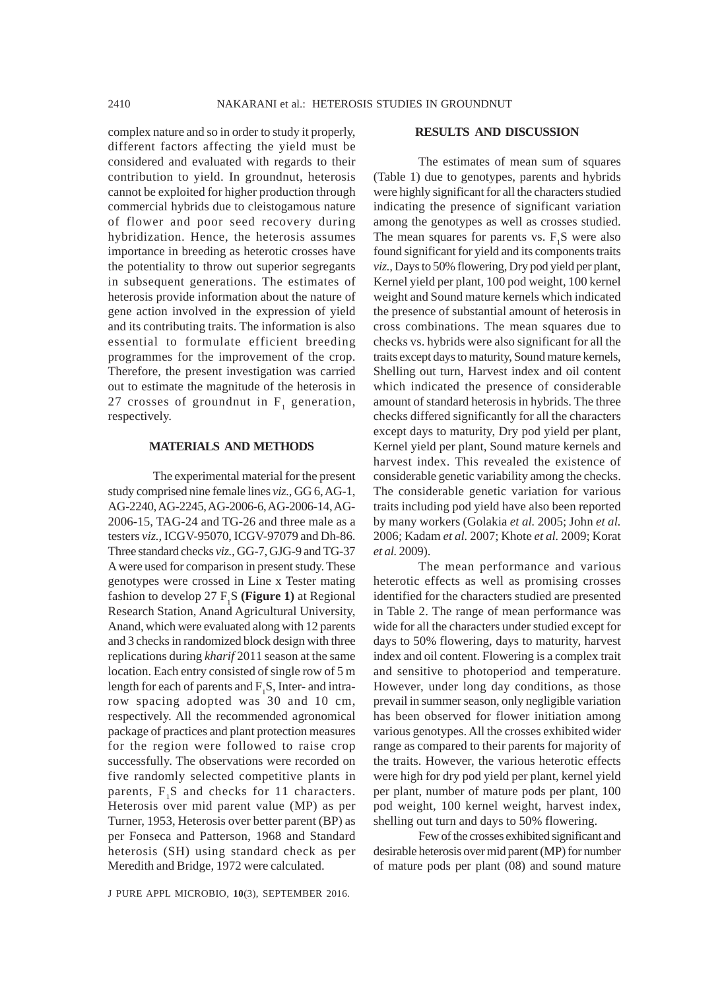complex nature and so in order to study it properly, different factors affecting the yield must be considered and evaluated with regards to their contribution to yield. In groundnut, heterosis cannot be exploited for higher production through commercial hybrids due to cleistogamous nature of flower and poor seed recovery during hybridization. Hence, the heterosis assumes importance in breeding as heterotic crosses have the potentiality to throw out superior segregants in subsequent generations. The estimates of heterosis provide information about the nature of gene action involved in the expression of yield and its contributing traits. The information is also essential to formulate efficient breeding programmes for the improvement of the crop. Therefore, the present investigation was carried out to estimate the magnitude of the heterosis in 27 crosses of groundnut in  $F_1$  generation, respectively.

#### **MATERIALS AND METHODS**

The experimental material for the present study comprised nine female lines *viz.,* GG 6, AG-1, AG-2240, AG-2245, AG-2006-6, AG-2006-14, AG-2006-15, TAG-24 and TG-26 and three male as a testers *viz.,* ICGV-95070, ICGV-97079 and Dh-86. Three standard checks *viz.,* GG-7, GJG-9 and TG-37 A were used for comparison in present study. These genotypes were crossed in Line x Tester mating fashion to develop 27 F<sub>1</sub>S (**Figure 1**) at Regional Research Station, Anand Agricultural University, Anand, which were evaluated along with 12 parents and 3 checks in randomized block design with three replications during *kharif* 2011 season at the same location. Each entry consisted of single row of 5 m length for each of parents and  $F_1S$ , Inter- and intrarow spacing adopted was 30 and 10 cm, respectively. All the recommended agronomical package of practices and plant protection measures for the region were followed to raise crop successfully. The observations were recorded on five randomly selected competitive plants in parents,  $F_1S$  and checks for 11 characters. Heterosis over mid parent value (MP) as per Turner, 1953, Heterosis over better parent (BP) as per Fonseca and Patterson, 1968 and Standard heterosis (SH) using standard check as per Meredith and Bridge, 1972 were calculated.

#### **RESULTS AND DISCUSSION**

The estimates of mean sum of squares (Table 1) due to genotypes, parents and hybrids were highly significant for all the characters studied indicating the presence of significant variation among the genotypes as well as crosses studied. The mean squares for parents vs.  $F_1S$  were also found significant for yield and its components traits *viz.,* Days to 50% flowering, Dry pod yield per plant, Kernel yield per plant, 100 pod weight, 100 kernel weight and Sound mature kernels which indicated the presence of substantial amount of heterosis in cross combinations. The mean squares due to checks vs. hybrids were also significant for all the traits except days to maturity, Sound mature kernels, Shelling out turn, Harvest index and oil content which indicated the presence of considerable amount of standard heterosis in hybrids. The three checks differed significantly for all the characters except days to maturity, Dry pod yield per plant, Kernel yield per plant, Sound mature kernels and harvest index. This revealed the existence of considerable genetic variability among the checks. The considerable genetic variation for various traits including pod yield have also been reported by many workers (Golakia *et al.* 2005; John *et al.* 2006; Kadam *et al.* 2007; Khote *et al.* 2009; Korat *et al.* 2009).

The mean performance and various heterotic effects as well as promising crosses identified for the characters studied are presented in Table 2. The range of mean performance was wide for all the characters under studied except for days to 50% flowering, days to maturity, harvest index and oil content. Flowering is a complex trait and sensitive to photoperiod and temperature. However, under long day conditions, as those prevail in summer season, only negligible variation has been observed for flower initiation among various genotypes. All the crosses exhibited wider range as compared to their parents for majority of the traits. However, the various heterotic effects were high for dry pod yield per plant, kernel yield per plant, number of mature pods per plant, 100 pod weight, 100 kernel weight, harvest index, shelling out turn and days to 50% flowering.

Few of the crosses exhibited significant and desirable heterosis over mid parent (MP) for number of mature pods per plant (08) and sound mature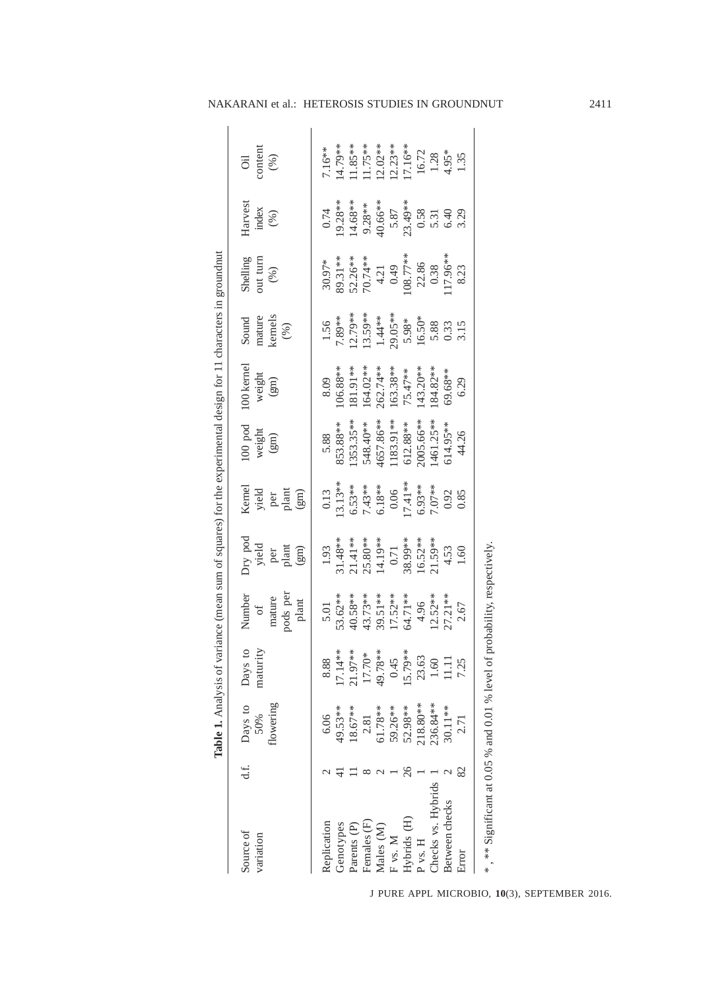|                                                                         |     | Table 1. Analysis of variance (mean sum of squares) for the experimental design for 11 characters in groundnut |                     |                                          |                                            |                                                                                                         |                                                                                      |                              |                                         |                                                               |                                                                      |                                                                           |
|-------------------------------------------------------------------------|-----|----------------------------------------------------------------------------------------------------------------|---------------------|------------------------------------------|--------------------------------------------|---------------------------------------------------------------------------------------------------------|--------------------------------------------------------------------------------------|------------------------------|-----------------------------------------|---------------------------------------------------------------|----------------------------------------------------------------------|---------------------------------------------------------------------------|
| Source of<br>variation                                                  | d.f | flowering<br>Days to<br>50%                                                                                    | Days to<br>maturity | pods per<br>Number<br>of<br>mature       | Dry pod<br>yield<br>plant<br>plant<br>(gm) | $\begin{array}{l} \mbox{Kened} \\ \mbox{yield} \\ \mbox{per} \\ \mbox{plant} \\ \mbox{gcm} \end{array}$ | $100\;\,\mathrm{pod}$<br>$\begin{array}{c} \text{weight} \\ \text{(gm)} \end{array}$ | 100 kernel<br>weight<br>(gm) | mature<br>kernels<br>$(% )$<br>Sound    | Shelling<br>out turn<br>$(96)$                                | Harvest<br>index $( \% )$                                            | content<br>$(96)$<br>öÏ                                                   |
| Replication                                                             |     | 6.06                                                                                                           | 8.88                | 5.01                                     | 1.93                                       | 0.13                                                                                                    | 5.88                                                                                 | 8.09                         | 1.56                                    | 30.97*                                                        | 0.74                                                                 | $7.16**$                                                                  |
| Genotypes                                                               |     | 49.53 **                                                                                                       | 7.14**              | 53.62**                                  |                                            | $13.13**$                                                                                               | 853.88**                                                                             | $106.88**$                   | 7.89**                                  | 89.31 **                                                      | 19.28**                                                              | 14.79**                                                                   |
| Parents (P)                                                             |     | $18.67**$                                                                                                      | $21.97**$           | 40.58**                                  | $31.48**$<br>21.41**                       | $6.53**$<br>7.43 **<br>6.18 **<br>0.06                                                                  | 1353.35**                                                                            | $81.91**$                    | 12.79**<br>13.59**<br>1.44**<br>29.05** |                                                               | 14.68**                                                              | $\begin{array}{c} 1.85**\\ 1.75**\\ 2.02**\\ 2.13**\\ 1.16** \end{array}$ |
| Females (F)                                                             |     | 2.81                                                                                                           | $17.70*$            |                                          | 25.80**<br>14.19**                         |                                                                                                         |                                                                                      | $164.02**$                   |                                         |                                                               |                                                                      |                                                                           |
| Males (M)                                                               |     | 61.78**                                                                                                        | 19.78**             |                                          |                                            |                                                                                                         | 548.40**<br>4657.86**                                                                | 262.74**                     |                                         |                                                               |                                                                      |                                                                           |
| F vs. M                                                                 |     | 59.26**                                                                                                        | 0.45                |                                          | $0.71\,$                                   |                                                                                                         | $183.91**$                                                                           | $163.38**$                   |                                         |                                                               |                                                                      |                                                                           |
| Hybrids (H)                                                             | 26  | $52.98**$                                                                                                      | 5.79**              | 43.73**<br>39.51**<br>17.52**<br>64.71** | 38.99**                                    | $[7.41**$                                                                                               | 612.88**                                                                             | 75.47**                      |                                         | $52.26**$<br>$70.74**$<br>$4.21$<br>0.49<br>108.77**<br>22.86 | 9.28**<br>40.66**<br>5.87<br>5.349**<br>0.58<br>6.40<br>6.40<br>6.40 |                                                                           |
| P vs. H                                                                 |     | 18.80**                                                                                                        | 23.63               |                                          | $16.52**$                                  | $6.93**$                                                                                                | .005.66**                                                                            | $43.20**$                    | $5.98*$<br>16.50*                       |                                                               |                                                                      |                                                                           |
| Checks vs. Hybrids                                                      |     | 236.84 **                                                                                                      | $1.60\,$            | $12.52**$                                |                                            |                                                                                                         | 461.25**                                                                             | $.84.82**$                   |                                         |                                                               |                                                                      |                                                                           |
| Between checks                                                          |     | 30.11**                                                                                                        | 11.11               | $27.21**$                                | $21.59***$<br>4.53<br>1.60                 | 0.92<br>0.85                                                                                            | $614.95***$                                                                          | 69.68**                      | 5.88<br>0.33<br>3.15                    | $0.38$<br>17.96**                                             |                                                                      | $\begin{array}{c} 16.72 \\ 1.28 \\ 4.95^* \\ 1.35 \end{array}$            |
| Error                                                                   |     | 2.71                                                                                                           | 7.25                | 2.67                                     |                                            |                                                                                                         | 44.26                                                                                | 6.29                         |                                         | 8.23                                                          |                                                                      |                                                                           |
| ** Significant at 0.05 % and 0.01 % level of probability, respectively, |     |                                                                                                                |                     |                                          |                                            |                                                                                                         |                                                                                      |                              |                                         |                                                               |                                                                      |                                                                           |

## NAKARANI et al.: HETEROSIS STUDIES IN GROUNDNUT 2411

J PURE APPL MICROBIO*,* **10**(3), SEPTEMBER 2016.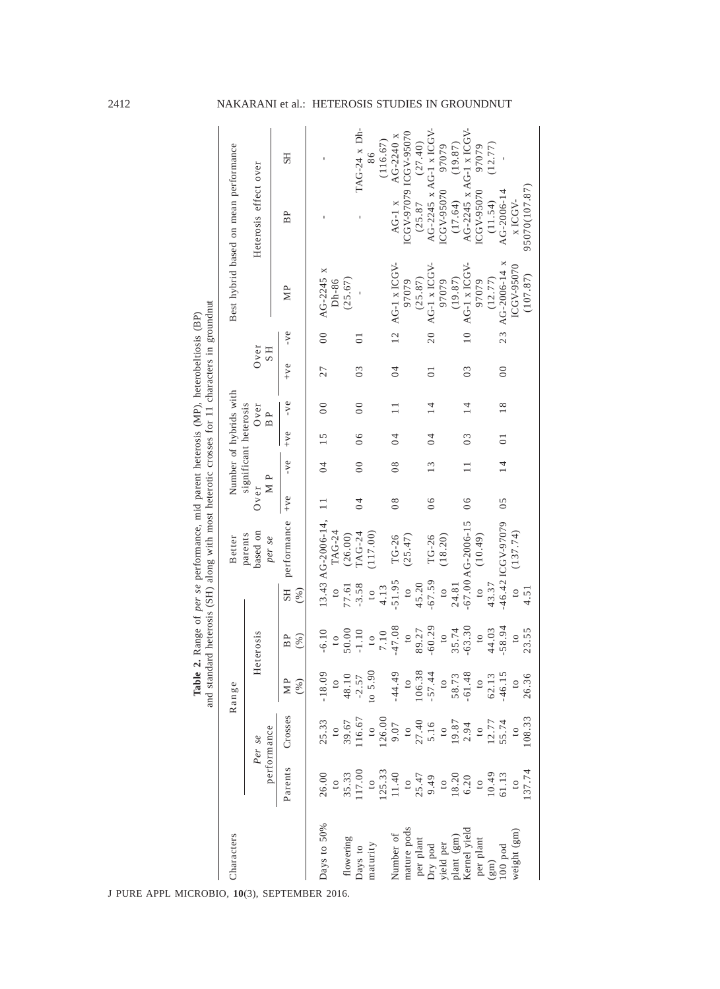|                                                                            |                                                                                                          |                                                           |                        |                        |                         | and standard heterosis (SH) along with most heterotic crosses for 11 characters in groundnut<br>Table 2. Range of per se performance, mid parent heterosis (MP), heterobeltiosis (BP) |                |                        |                 |                 |                |                 |                    |                                       |  |
|----------------------------------------------------------------------------|----------------------------------------------------------------------------------------------------------|-----------------------------------------------------------|------------------------|------------------------|-------------------------|---------------------------------------------------------------------------------------------------------------------------------------------------------------------------------------|----------------|------------------------|-----------------|-----------------|----------------|-----------------|--------------------|---------------------------------------|--|
| Characters                                                                 |                                                                                                          |                                                           | Range                  |                        |                         | Better                                                                                                                                                                                |                | Number of hybrids with |                 |                 |                |                 |                    | Best hybrid based on mean performance |  |
|                                                                            |                                                                                                          | performance<br>Per se                                     |                        | Heterosis              |                         | based on<br>parents<br>per se                                                                                                                                                         | M P<br>Over    | significant heterosis  |                 | $0$ ver<br>B P  | $0v$ er<br>H S |                 |                    | Heterosis effect over                 |  |
|                                                                            | Parents                                                                                                  | Crosses                                                   | ≏<br>(%)               | $(\%)$<br>BP           | $(\%)$<br><b>SH</b>     | performance                                                                                                                                                                           | $+ve$          | $-ve$                  | $+ve$           | $-ve$           | $+ve$          | $-ve$           | ΜP                 | <b>SH</b><br>$_{\rm BP}$              |  |
| Days to 50%                                                                | 26.00                                                                                                    | 25.33                                                     | $-18.09$               | $-6.10$                |                         | $13.43$ AG-2006-14,                                                                                                                                                                   |                | $\overline{0}$         | 15              | $\overline{0}$  | 27             | $\overline{0}$  | AG-2245 x          |                                       |  |
| flowering                                                                  | $\begin{array}{c} 10 \\ 35.33 \\ 17.00 \end{array}$                                                      | $\begin{array}{c} 10 \\ 39.67 \\ 16.67 \end{array}$       | $\frac{1}{2}$          | 50.00<br>$\frac{1}{2}$ | 77.61<br>$\overline{c}$ | TAG-24<br>(26.00)                                                                                                                                                                     |                |                        |                 |                 |                |                 | (25.67)<br>$Dh-86$ |                                       |  |
| Days to                                                                    |                                                                                                          |                                                           | 48.10                  | $-1.10$                | $-3.58$                 | <b>LAG-24</b>                                                                                                                                                                         | $\overline{0}$ | $\overline{0}$         | 06              | $\overline{0}$  | 0 <sub>3</sub> | $\overline{0}$  |                    | TAG-24 x Dh-                          |  |
| naturity                                                                   |                                                                                                          |                                                           | 06.7<br>$\frac{5}{10}$ | $\overline{c}$         | $\overline{c}$          | (117.00)                                                                                                                                                                              |                |                        |                 |                 |                |                 |                    | 86                                    |  |
|                                                                            |                                                                                                          |                                                           |                        | 7.10                   | 4.13                    |                                                                                                                                                                                       |                |                        |                 |                 |                |                 |                    | (116.67)                              |  |
| Number of                                                                  | $\begin{array}{c} 10 \\ 125.33 \\ 11.40 \end{array}$                                                     | $126.00$<br>9.07                                          | $-44.49$               | $-47.08$               | $-51.95$                | TG-26                                                                                                                                                                                 | $\frac{8}{2}$  | $\frac{8}{2}$          | $\overline{0}$  |                 | $\overline{0}$ |                 | $12$ AG-1 x ICGV-  | AG-2240 x<br>AG-1 $\bar{x}$           |  |
| mature pods                                                                |                                                                                                          |                                                           | $\circ$                | $\approx$              | $\overline{c}$          | (25.47)                                                                                                                                                                               |                |                        |                 |                 |                |                 | 97079              | ICGV-97079 ICGV-95070                 |  |
|                                                                            |                                                                                                          |                                                           |                        | 89.27                  | 45.20                   |                                                                                                                                                                                       |                |                        |                 |                 |                |                 | (25.87)            | (27.40)<br>(25.87)                    |  |
| per plant<br>Dry pod<br>Dry pod<br>yield per<br>plant (gm)<br>Rernel yield | $\begin{array}{c} 10\\25.47\\9.49\\18.20\\18.20\\6.20\\10.49\\10.49\\10.49\\10.49\\10.13\\10\end{array}$ | $10$<br>$5.16$<br>$10.87$<br>$19.87$<br>$2.94$            | $106.38$<br>$-57.44$   | $-60.29$               | $-67.59$                | TG-26                                                                                                                                                                                 | 06             | 13                     | $\overline{0}$  | $\overline{14}$ | $\overline{0}$ | $\overline{20}$ | AG-1 x ICGV-       | AG-2245 x AG-1 x ICGV-                |  |
|                                                                            |                                                                                                          |                                                           | $\circ$                | $\circ$                | $\overline{c}$          | (18.20)                                                                                                                                                                               |                |                        |                 |                 |                |                 | 97079              | 97079<br>ICGV-95070                   |  |
|                                                                            |                                                                                                          |                                                           | 58.73                  | 35.74                  | 24.81                   |                                                                                                                                                                                       |                |                        |                 |                 |                |                 | (19.87)            | (19.87)<br>(17.64)                    |  |
|                                                                            |                                                                                                          |                                                           | $-61.48$               | $-63.30$               |                         | $-67.00AG-2006-15$                                                                                                                                                                    | $\overline{0}$ |                        | $\overline{0}3$ | $\overline{14}$ | $\frac{3}{2}$  | $\overline{10}$ | AG-1 x ICGV-       | AG-2245 x AG-1 x ICGV-                |  |
| per plant                                                                  |                                                                                                          |                                                           | $\overline{c}$         | $\circ$                | $\overline{c}$          | (10.49)                                                                                                                                                                               |                |                        |                 |                 |                |                 | 97079              | 97079<br>ICGV-95070                   |  |
| (gm)                                                                       |                                                                                                          | $\begin{array}{c} 10 \\ 12.77 \\ 55.74 \\ 10 \end{array}$ |                        | 44.03                  | 43.37                   |                                                                                                                                                                                       |                |                        |                 |                 |                |                 | (12.77)            | (12.77)<br>(11.54)                    |  |
| $100$ pod                                                                  |                                                                                                          |                                                           | $62.13$<br>-46.15      | $-58.94$               |                         | -46.42 ICGV-97079                                                                                                                                                                     | 05             | $\overline{14}$        | $\overline{0}$  | 18              | $\overline{0}$ | 23              | AG-2006-14 x       | AG-2006-1                             |  |
| weight (gm)                                                                |                                                                                                          |                                                           | $\overline{c}$         | $\circ$                | $\overline{c}$          | (137.74)                                                                                                                                                                              |                |                        |                 |                 |                |                 | ICGV-95070         | x ICGV-                               |  |
|                                                                            | 137.74                                                                                                   | 108.33                                                    | 26.36                  | 23.55                  | 4.51                    |                                                                                                                                                                                       |                |                        |                 |                 |                |                 | (107.87)           | 95070(107.87)                         |  |

2412 NAKARANI et al.: HETEROSIS STUDIES IN GROUNDNUT

J PURE APPL MICROBIO*,* **10**(3), SEPTEMBER 2016.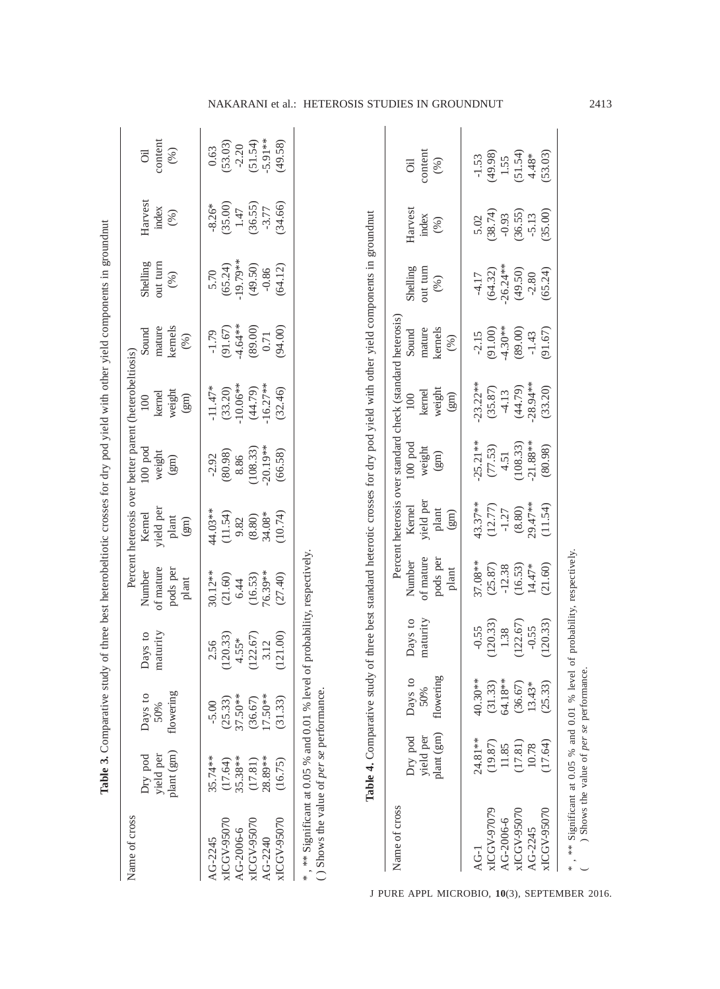|                                                                              |                                                                                                                | Table 3. Comparative study of three best heterobeltiotic crosses for dry pod yield with other yield components in groundnut                                             |                                                            |                                                             |                                                             |                                                                                                         |                                                                    |                                                                 |                                                                  |                                                               |                                                    |
|------------------------------------------------------------------------------|----------------------------------------------------------------------------------------------------------------|-------------------------------------------------------------------------------------------------------------------------------------------------------------------------|------------------------------------------------------------|-------------------------------------------------------------|-------------------------------------------------------------|---------------------------------------------------------------------------------------------------------|--------------------------------------------------------------------|-----------------------------------------------------------------|------------------------------------------------------------------|---------------------------------------------------------------|----------------------------------------------------|
| Name of cross                                                                | plant (gm)<br>Dry pod<br>yield per                                                                             | flowering<br>Days to<br>50%                                                                                                                                             | maturity<br>Days to                                        | of mature<br>pods per<br>Number<br>plant                    | yield per<br>Kernel<br>$\rm plant$<br>(gm)                  | Percent heterosis over better parent (heterobeltiosis)<br>$100$ pod<br>weight<br>$\widehat{\mathrm{g}}$ | weight<br>kernel<br>$\widehat{\Xi}$<br>100                         | kernels<br>mature<br>Sound<br>(%)                               | out turn<br>Shelling<br>$(96)$                                   | Harvest<br>index<br>$(96)$                                    | content<br>(%)<br>öil                              |
| xICGV-95070<br>xICGV-95070<br>xICGV-95070<br>AG-2006-6<br>AG-2245<br>AG-2240 | 35.74**<br>35.38**<br>28.89**<br>(17.64)<br>(17.81)<br>(16.75)                                                 | 37.50**<br>$17.50**$<br>(31.33)<br>(36.67)<br>(25.33)<br>$-5.00$                                                                                                        | 121.00)<br>(122.67)<br>(120.33)<br>$4.55*$<br>3.12<br>2.56 | 76.39**<br>30.12**<br>(27.40)<br>(21.60)<br>(16.53)<br>6.44 | 44.03**<br>(11.54)<br>(10.74)<br>34.08*<br>$(8.80)$<br>9.82 | $-20.19**$<br>(108.33)<br>(66.58)<br>(80.98)<br>8.86<br>$-2.92$                                         | 10.06**<br>$16.27**$<br>$-11.47*$<br>(33.20)<br>(44.79)<br>(32.46) | $(91.67)$<br>-4.64**<br>(89.00)<br>(94.00)<br>$-1.79$<br>$0.71$ | $(65.24)$<br>-19.79**<br>$(49.50)$<br>$-0.86$<br>(64.12)<br>5.70 | $(35.00)$ $1.47$<br>(34.66)<br>(36.55)<br>$-8.26*$<br>$-3.77$ | $-5.91**$<br>(49.58)<br>(51.54)<br>(53.03)<br>0.63 |
| () Shows the value of per se performance.<br>Name of cross                   | , ** Significant at 0.05 % and 0.01 % level of probability, respectively<br>plant (gm)<br>Dry pod<br>yield per | Table 4. Comparative study of three best standard heterotic crosses for dry pod yield with other yield components in groundnut<br>flowering<br>$\circ$<br>Days 1<br>50% | maturity<br>Days to                                        | of mature<br>pods per<br>Number                             | yield per<br><b>Kernel</b><br>plant                         | Percent heterosis over standard check (standard heterosis)<br>$100$ pod<br>weight<br>(gm)               | weight<br>kernel<br>100                                            | kernels<br>mature<br>Sound                                      | out turn<br>Shelling<br>(%)                                      | Harvest<br>index<br>(%)                                       | content<br>öil<br>(%)                              |
|                                                                              |                                                                                                                |                                                                                                                                                                         |                                                            | plant                                                       | $\left( \mathrm{gm}\right)$                                 |                                                                                                         | $\binom{g}{g}$                                                     | (96)                                                            |                                                                  |                                                               |                                                    |
| $AG-1$                                                                       | 24.81 **                                                                                                       | ∗<br>40.30*                                                                                                                                                             | $-0.55$                                                    | 37.08**                                                     | $43.37**$                                                   | $25.21**$                                                                                               | $23.22**$                                                          | $-2.15$                                                         | $-4.17$                                                          | 5.02                                                          | $-1.53$                                            |
| xICGV-97079<br>AG-2006-6                                                     | (19.87)<br>11.85                                                                                               | 64.18**<br>(31.33)                                                                                                                                                      | (120.33)<br>1.38                                           | (25.87)<br>$-12.38$                                         | (12.77)<br>$-1.27$                                          | (77.53)<br>4.51                                                                                         | (35.87)<br>$-4.13$                                                 | $-4.30**$<br>(91.00)                                            | $-26.24**$<br>(64.32)                                            | (38.74)<br>$-0.93$                                            | (49.98)<br>1.55                                    |
| xICGV-95070                                                                  | (17.81)                                                                                                        | (36.67)                                                                                                                                                                 | (122.67)                                                   | (16.53)                                                     | (8.80)                                                      | (108.33)                                                                                                | (44.79)                                                            | (89.00)                                                         | (49.50)                                                          | (36.55)                                                       | (51.54)                                            |
| xICGV-95070<br>AG-2245                                                       | (17.64)<br>10.78                                                                                               | (25.33)<br>13.43*                                                                                                                                                       | (120.33)<br>$-0.55$                                        | 14.47*<br>(21.60)                                           | 29.47**<br>(11.54)                                          | $21.88**$<br>(80.98)                                                                                    | 28.94 **<br>(33.20)                                                | (91.67)<br>$-1.43$                                              | (65.24)<br>$-2.80$                                               | (35.00)<br>$-5.13$                                            | 53.03)<br>$4.48*$                                  |
|                                                                              | , ** Significant at 0.05 % and 0.01 % level of probability, respectively,                                      |                                                                                                                                                                         |                                                            |                                                             |                                                             |                                                                                                         |                                                                    |                                                                 |                                                                  |                                                               |                                                    |
|                                                                              | ) Shows the value of per se performance.                                                                       |                                                                                                                                                                         |                                                            |                                                             |                                                             |                                                                                                         |                                                                    |                                                                 |                                                                  |                                                               |                                                    |

## NAKARANI et al.: HETEROSIS STUDIES IN GROUNDNUT 2413

J PURE APPL MICROBIO*,* **10**(3), SEPTEMBER 2016.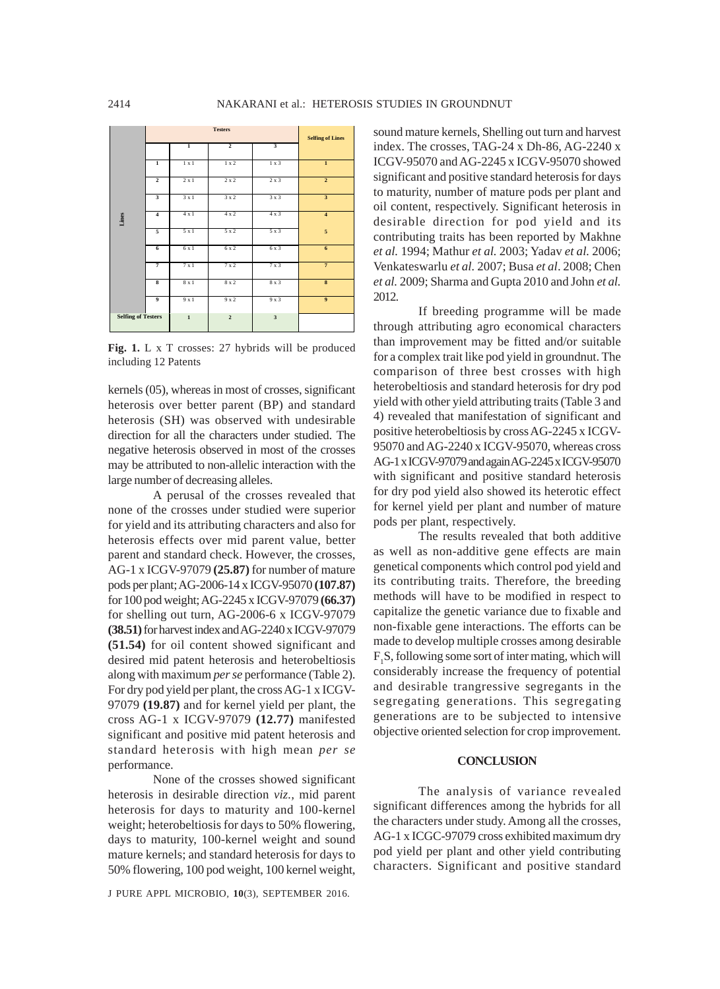

**Fig. 1.** L x T crosses: 27 hybrids will be produced including 12 Patents

kernels (05), whereas in most of crosses, significant heterosis over better parent (BP) and standard heterosis (SH) was observed with undesirable direction for all the characters under studied. The negative heterosis observed in most of the crosses may be attributed to non-allelic interaction with the large number of decreasing alleles.

A perusal of the crosses revealed that none of the crosses under studied were superior for yield and its attributing characters and also for heterosis effects over mid parent value, better parent and standard check. However, the crosses, AG-1 x ICGV-97079 **(25.87)** for number of mature pods per plant; AG-2006-14 x ICGV-95070 **(107.87)** for 100 pod weight; AG-2245 x ICGV-97079 **(66.37)** for shelling out turn, AG-2006-6 x ICGV-97079 **(38.51)** for harvest index and AG-2240 x ICGV-97079 **(51.54)** for oil content showed significant and desired mid patent heterosis and heterobeltiosis along with maximum *per se* performance (Table 2). For dry pod yield per plant, the cross AG-1 x ICGV-97079 **(19.87)** and for kernel yield per plant, the cross AG-1 x ICGV-97079 **(12.77)** manifested significant and positive mid patent heterosis and standard heterosis with high mean *per se* performance.

None of the crosses showed significant heterosis in desirable direction *viz.,* mid parent heterosis for days to maturity and 100-kernel weight; heterobeltiosis for days to 50% flowering, days to maturity, 100-kernel weight and sound mature kernels; and standard heterosis for days to 50% flowering, 100 pod weight, 100 kernel weight,

J PURE APPL MICROBIO*,* **10**(3), SEPTEMBER 2016.

sound mature kernels, Shelling out turn and harvest index. The crosses, TAG-24 x Dh-86, AG-2240 x ICGV-95070 and AG-2245 x ICGV-95070 showed significant and positive standard heterosis for days to maturity, number of mature pods per plant and oil content, respectively. Significant heterosis in desirable direction for pod yield and its contributing traits has been reported by Makhne *et al.* 1994; Mathur *et al.* 2003; Yadav *et al.* 2006; Venkateswarlu *et al.* 2007; Busa *et al*. 2008; Chen *et al.* 2009; Sharma and Gupta 2010 and John *et al.* 2012.

If breeding programme will be made through attributing agro economical characters than improvement may be fitted and/or suitable for a complex trait like pod yield in groundnut. The comparison of three best crosses with high heterobeltiosis and standard heterosis for dry pod yield with other yield attributing traits (Table 3 and 4) revealed that manifestation of significant and positive heterobeltiosis by cross AG-2245 x ICGV-95070 and AG-2240 x ICGV-95070, whereas cross AG-1 x ICGV-97079 and again AG-2245 x ICGV-95070 with significant and positive standard heterosis for dry pod yield also showed its heterotic effect for kernel yield per plant and number of mature pods per plant, respectively.

The results revealed that both additive as well as non-additive gene effects are main genetical components which control pod yield and its contributing traits. Therefore, the breeding methods will have to be modified in respect to capitalize the genetic variance due to fixable and non-fixable gene interactions. The efforts can be made to develop multiple crosses among desirable  $F_1S$ , following some sort of inter mating, which will considerably increase the frequency of potential and desirable trangressive segregants in the segregating generations. This segregating generations are to be subjected to intensive objective oriented selection for crop improvement.

#### **CONCLUSION**

The analysis of variance revealed significant differences among the hybrids for all the characters under study. Among all the crosses, AG-1 x ICGC-97079 cross exhibited maximum dry pod yield per plant and other yield contributing characters. Significant and positive standard